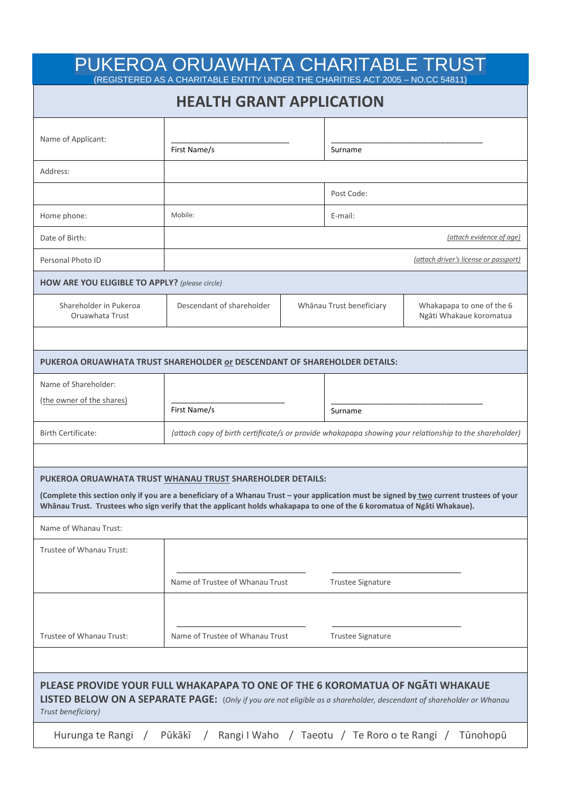|                                                       | <b>HEALTH GRANT APPLICATION</b>                                                                                                                                                                                                                                    |  |                          |                                                      |  |
|-------------------------------------------------------|--------------------------------------------------------------------------------------------------------------------------------------------------------------------------------------------------------------------------------------------------------------------|--|--------------------------|------------------------------------------------------|--|
| Name of Applicant:                                    |                                                                                                                                                                                                                                                                    |  |                          |                                                      |  |
|                                                       | First Name/s                                                                                                                                                                                                                                                       |  | Surname                  |                                                      |  |
| Address:                                              |                                                                                                                                                                                                                                                                    |  |                          |                                                      |  |
|                                                       |                                                                                                                                                                                                                                                                    |  | Post Code:               |                                                      |  |
| Home phone:                                           | Mobile:                                                                                                                                                                                                                                                            |  |                          | E-mail:                                              |  |
| Date of Birth:                                        |                                                                                                                                                                                                                                                                    |  |                          | (attach evidence of age)                             |  |
| Personal Photo ID                                     |                                                                                                                                                                                                                                                                    |  |                          | (attach driver's license or passport)                |  |
| <b>HOW ARE YOU ELIGIBLE TO APPLY?</b> (please circle) |                                                                                                                                                                                                                                                                    |  |                          |                                                      |  |
| Shareholder in Pukeroa<br>Oruawhata Trust             | Descendant of shareholder                                                                                                                                                                                                                                          |  | Whānau Trust beneficiary | Whakapapa to one of the 6<br>Ngāti Whakaue koromatua |  |
|                                                       |                                                                                                                                                                                                                                                                    |  |                          |                                                      |  |
|                                                       | PUKEROA ORUAWHATA TRUST SHAREHOLDER or DESCENDANT OF SHAREHOLDER DETAILS:                                                                                                                                                                                          |  |                          |                                                      |  |
| Name of Shareholder:                                  |                                                                                                                                                                                                                                                                    |  |                          |                                                      |  |
| (the owner of the shares)                             | First Name/s                                                                                                                                                                                                                                                       |  | Surname                  |                                                      |  |
| <b>Birth Certificate:</b>                             | (attach copy of birth certificate/s or provide whakapapa showing your relationship to the shareholder)                                                                                                                                                             |  |                          |                                                      |  |
|                                                       |                                                                                                                                                                                                                                                                    |  |                          |                                                      |  |
|                                                       | PUKEROA ORUAWHATA TRUST WHANAU TRUST SHAREHOLDER DETAILS:                                                                                                                                                                                                          |  |                          |                                                      |  |
|                                                       | (Complete this section only if you are a beneficiary of a Whanau Trust - your application must be signed by two current trustees of your<br>Whānau Trust. Trustees who sign verify that the applicant holds whakapapa to one of the 6 koromatua of Ngāti Whakaue). |  |                          |                                                      |  |
| Name of Whanau Trust:                                 |                                                                                                                                                                                                                                                                    |  |                          |                                                      |  |
|                                                       |                                                                                                                                                                                                                                                                    |  |                          |                                                      |  |
|                                                       |                                                                                                                                                                                                                                                                    |  |                          |                                                      |  |
| Trustee of Whanau Trust:                              | Name of Trustee of Whanau Trust                                                                                                                                                                                                                                    |  | <b>Trustee Signature</b> |                                                      |  |
|                                                       |                                                                                                                                                                                                                                                                    |  |                          |                                                      |  |
| Trustee of Whanau Trust:                              | Name of Trustee of Whanau Trust                                                                                                                                                                                                                                    |  | <b>Trustee Signature</b> |                                                      |  |
|                                                       |                                                                                                                                                                                                                                                                    |  |                          |                                                      |  |
|                                                       | PLEASE PROVIDE YOUR FULL WHAKAPAPA TO ONE OF THE 6 KOROMATUA OF NGATI WHAKAUE                                                                                                                                                                                      |  |                          |                                                      |  |